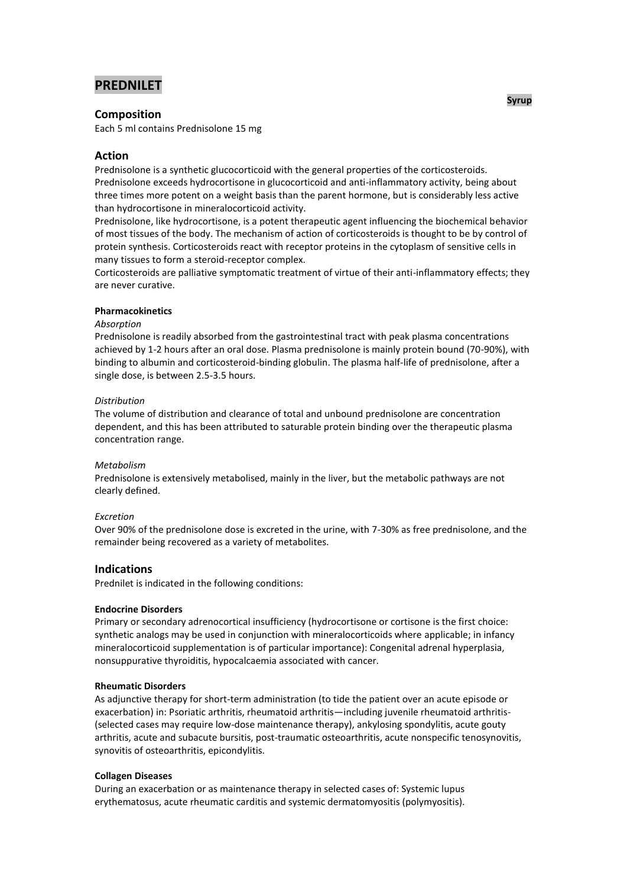# **PREDNILET**

# **Composition**

Each 5 ml contains Prednisolone 15 mg

# **Action**

Prednisolone is a synthetic glucocorticoid with the general properties of the corticosteroids. Prednisolone exceeds hydrocortisone in glucocorticoid and anti-inflammatory activity, being about three times more potent on a weight basis than the parent hormone, but is considerably less active than hydrocortisone in mineralocorticoid activity.

Prednisolone, like hydrocortisone, is a potent therapeutic agent influencing the biochemical behavior of most tissues of the body. The mechanism of action of corticosteroids is thought to be by control of protein synthesis. Corticosteroids react with receptor proteins in the cytoplasm of sensitive cells in many tissues to form a steroid-receptor complex.

Corticosteroids are palliative symptomatic treatment of virtue of their anti-inflammatory effects; they are never curative.

### **Pharmacokinetics**

### *Absorption*

Prednisolone is readily absorbed from the gastrointestinal tract with peak plasma concentrations achieved by 1-2 hours after an oral dose. Plasma prednisolone is mainly protein bound (70-90%), with binding to albumin and corticosteroid-binding globulin. The plasma half-life of prednisolone, after a single dose, is between 2.5-3.5 hours.

### *Distribution*

The volume of distribution and clearance of total and unbound prednisolone are concentration dependent, and this has been attributed to saturable protein binding over the therapeutic plasma concentration range.

### *Metabolism*

Prednisolone is extensively metabolised, mainly in the liver, but the metabolic pathways are not clearly defined.

### *Excretion*

Over 90% of the prednisolone dose is excreted in the urine, with 7-30% as free prednisolone, and the remainder being recovered as a variety of metabolites.

# **Indications**

Prednilet is indicated in the following conditions:

# **Endocrine Disorders**

Primary or secondary adrenocortical insufficiency (hydrocortisone or cortisone is the first choice: synthetic analogs may be used in conjunction with mineralocorticoids where applicable; in infancy mineralocorticoid supplementation is of particular importance): Congenital adrenal hyperplasia, nonsuppurative thyroiditis, hypocalcaemia associated with cancer.

### **Rheumatic Disorders**

As adjunctive therapy for short-term administration (to tide the patient over an acute episode or exacerbation) in: Psoriatic arthritis, rheumatoid arthritis—including juvenile rheumatoid arthritis- (selected cases may require low-dose maintenance therapy), ankylosing spondylitis, acute gouty arthritis, acute and subacute bursitis, post-traumatic osteoarthritis, acute nonspecific tenosynovitis, synovitis of osteoarthritis, epicondylitis.

### **Collagen Diseases**

During an exacerbation or as maintenance therapy in selected cases of: Systemic lupus erythematosus, acute rheumatic carditis and systemic dermatomyositis (polymyositis).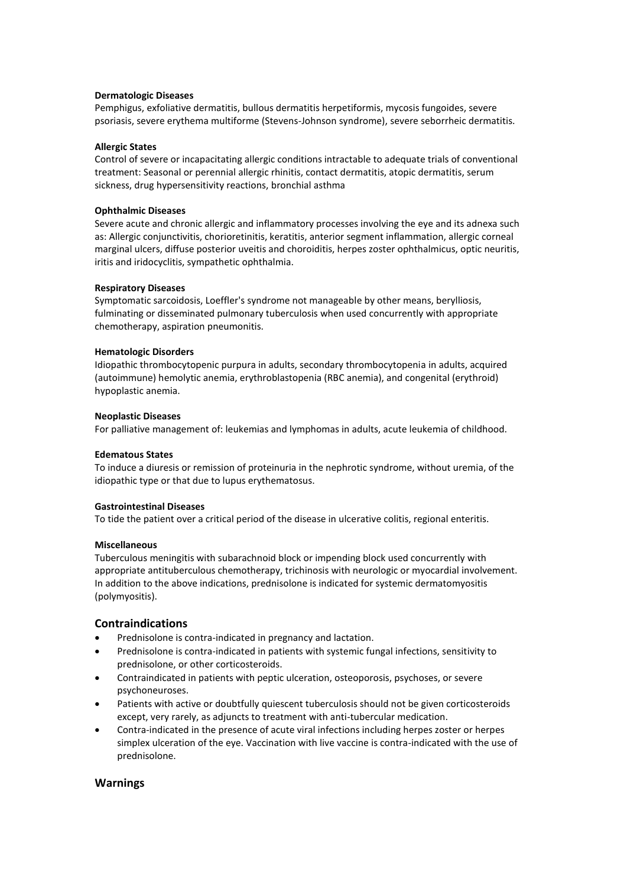#### **Dermatologic Diseases**

Pemphigus, exfoliative dermatitis, bullous dermatitis herpetiformis, mycosis fungoides, severe psoriasis, severe erythema multiforme (Stevens-Johnson syndrome), severe seborrheic dermatitis.

#### **Allergic States**

Control of severe or incapacitating allergic conditions intractable to adequate trials of conventional treatment: Seasonal or perennial allergic rhinitis, contact dermatitis, atopic dermatitis, serum sickness, drug hypersensitivity reactions, bronchial asthma

#### **Ophthalmic Diseases**

Severe acute and chronic allergic and inflammatory processes involving the eye and its adnexa such as: Allergic conjunctivitis, chorioretinitis, keratitis, anterior segment inflammation, allergic corneal marginal ulcers, diffuse posterior uveitis and choroiditis, herpes zoster ophthalmicus, optic neuritis, iritis and iridocyclitis, sympathetic ophthalmia.

#### **Respiratory Diseases**

Symptomatic sarcoidosis, Loeffler's syndrome not manageable by other means, berylliosis, fulminating or disseminated pulmonary tuberculosis when used concurrently with appropriate chemotherapy, aspiration pneumonitis.

#### **Hematologic Disorders**

Idiopathic thrombocytopenic purpura in adults, secondary thrombocytopenia in adults, acquired (autoimmune) hemolytic anemia, erythroblastopenia (RBC anemia), and congenital (erythroid) hypoplastic anemia.

#### **Neoplastic Diseases**

For palliative management of: leukemias and lymphomas in adults, acute leukemia of childhood.

#### **Edematous States**

To induce a diuresis or remission of proteinuria in the nephrotic syndrome, without uremia, of the idiopathic type or that due to lupus erythematosus.

#### **Gastrointestinal Diseases**

To tide the patient over a critical period of the disease in ulcerative colitis, regional enteritis.

#### **Miscellaneous**

Tuberculous meningitis with subarachnoid block or impending block used concurrently with appropriate antituberculous chemotherapy, trichinosis with neurologic or myocardial involvement. In addition to the above indications, prednisolone is indicated for systemic dermatomyositis (polymyositis).

### **Contraindications**

- Prednisolone is contra-indicated in pregnancy and lactation.
- Prednisolone is contra-indicated in patients with systemic fungal infections, sensitivity to prednisolone, or other corticosteroids.
- Contraindicated in patients with peptic ulceration, osteoporosis, psychoses, or severe psychoneuroses.
- Patients with active or doubtfully quiescent tuberculosis should not be given corticosteroids except, very rarely, as adjuncts to treatment with anti-tubercular medication.
- Contra-indicated in the presence of acute viral infections including herpes zoster or herpes simplex ulceration of the eye. Vaccination with live vaccine is contra-indicated with the use of prednisolone.

### **Warnings**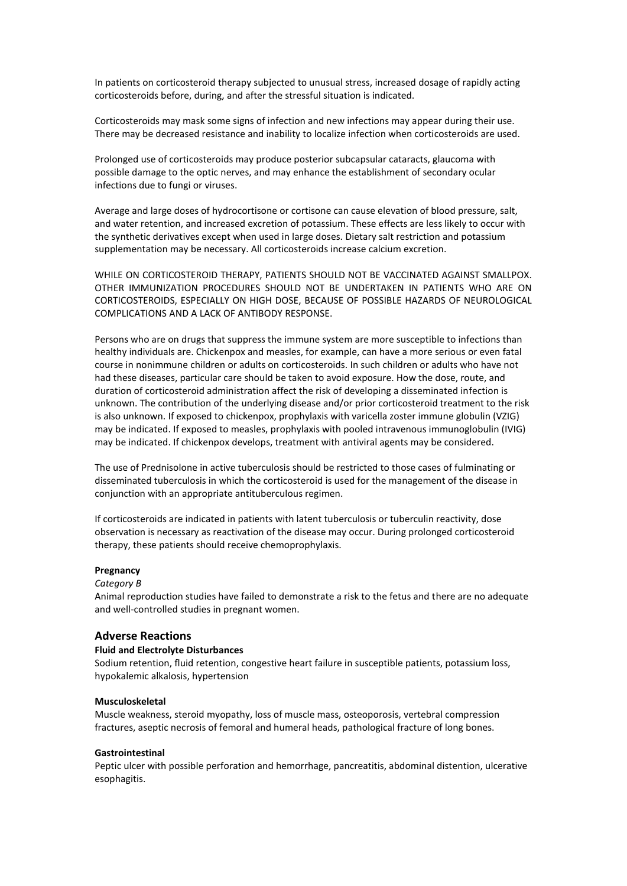In patients on corticosteroid therapy subjected to unusual stress, increased dosage of rapidly acting corticosteroids before, during, and after the stressful situation is indicated.

Corticosteroids may mask some signs of infection and new infections may appear during their use. There may be decreased resistance and inability to localize infection when corticosteroids are used.

Prolonged use of corticosteroids may produce posterior subcapsular cataracts, glaucoma with possible damage to the optic nerves, and may enhance the establishment of secondary ocular infections due to fungi or viruses.

Average and large doses of hydrocortisone or cortisone can cause elevation of blood pressure, salt, and water retention, and increased excretion of potassium. These effects are less likely to occur with the synthetic derivatives except when used in large doses. Dietary salt restriction and potassium supplementation may be necessary. All corticosteroids increase calcium excretion.

WHILE ON CORTICOSTEROID THERAPY, PATIENTS SHOULD NOT BE VACCINATED AGAINST SMALLPOX. OTHER IMMUNIZATION PROCEDURES SHOULD NOT BE UNDERTAKEN IN PATIENTS WHO ARE ON CORTICOSTEROIDS, ESPECIALLY ON HIGH DOSE, BECAUSE OF POSSIBLE HAZARDS OF NEUROLOGICAL COMPLICATIONS AND A LACK OF ANTIBODY RESPONSE.

Persons who are on drugs that suppress the immune system are more susceptible to infections than healthy individuals are. Chickenpox and measles, for example, can have a more serious or even fatal course in nonimmune children or adults on corticosteroids. In such children or adults who have not had these diseases, particular care should be taken to avoid exposure. How the dose, route, and duration of corticosteroid administration affect the risk of developing a disseminated infection is unknown. The contribution of the underlying disease and/or prior corticosteroid treatment to the risk is also unknown. If exposed to chickenpox, prophylaxis with varicella zoster immune globulin (VZIG) may be indicated. If exposed to measles, prophylaxis with pooled intravenous immunoglobulin (IVIG) may be indicated. If chickenpox develops, treatment with antiviral agents may be considered.

The use of Prednisolone in active tuberculosis should be restricted to those cases of fulminating or disseminated tuberculosis in which the corticosteroid is used for the management of the disease in conjunction with an appropriate antituberculous regimen.

If corticosteroids are indicated in patients with latent tuberculosis or tuberculin reactivity, dose observation is necessary as reactivation of the disease may occur. During prolonged corticosteroid therapy, these patients should receive chemoprophylaxis.

#### **Pregnancy**

#### *Category B*

Animal reproduction studies have failed to demonstrate a risk to the fetus and there are no adequate and well-controlled studies in pregnant women.

#### **Adverse Reactions**

#### **Fluid and Electrolyte Disturbances**

Sodium retention, fluid retention, congestive heart failure in susceptible patients, potassium loss, hypokalemic alkalosis, hypertension

#### **Musculoskeletal**

Muscle weakness, steroid myopathy, loss of muscle mass, osteoporosis, vertebral compression fractures, aseptic necrosis of femoral and humeral heads, pathological fracture of long bones.

#### **Gastrointestinal**

Peptic ulcer with possible perforation and hemorrhage, pancreatitis, abdominal distention, ulcerative esophagitis.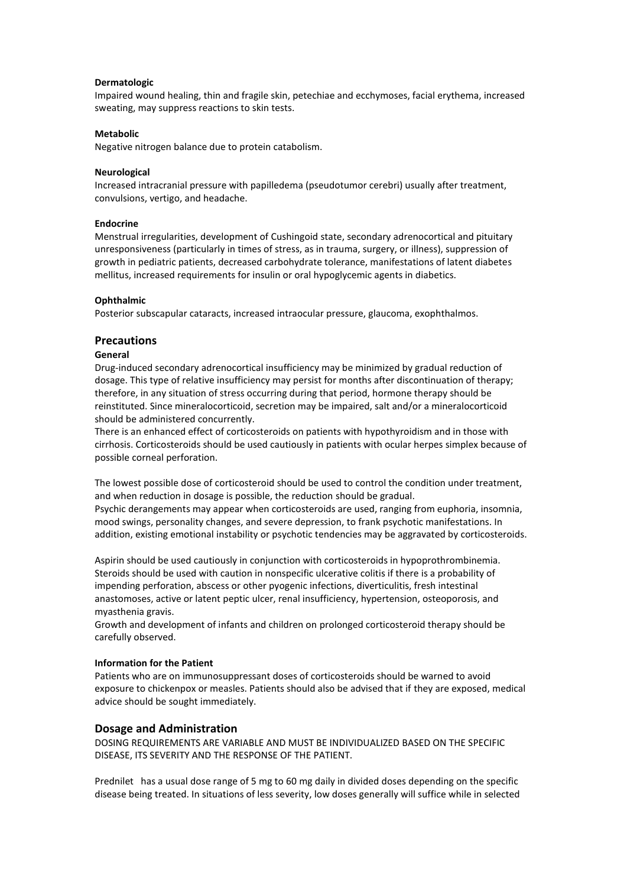#### **Dermatologic**

Impaired wound healing, thin and fragile skin, petechiae and ecchymoses, facial erythema, increased sweating, may suppress reactions to skin tests.

#### **Metabolic**

Negative nitrogen balance due to protein catabolism.

#### **Neurological**

Increased intracranial pressure with papilledema (pseudotumor cerebri) usually after treatment, convulsions, vertigo, and headache.

#### **Endocrine**

Menstrual irregularities, development of Cushingoid state, secondary adrenocortical and pituitary unresponsiveness (particularly in times of stress, as in trauma, surgery, or illness), suppression of growth in pediatric patients, decreased carbohydrate tolerance, manifestations of latent diabetes mellitus, increased requirements for insulin or oral hypoglycemic agents in diabetics.

### **Ophthalmic**

Posterior subscapular cataracts, increased intraocular pressure, glaucoma, exophthalmos.

# **Precautions**

#### **General**

Drug-induced secondary adrenocortical insufficiency may be minimized by gradual reduction of dosage. This type of relative insufficiency may persist for months after discontinuation of therapy; therefore, in any situation of stress occurring during that period, hormone therapy should be reinstituted. Since mineralocorticoid, secretion may be impaired, salt and/or a mineralocorticoid should be administered concurrently.

There is an enhanced effect of corticosteroids on patients with hypothyroidism and in those with cirrhosis. Corticosteroids should be used cautiously in patients with ocular herpes simplex because of possible corneal perforation.

The lowest possible dose of corticosteroid should be used to control the condition under treatment, and when reduction in dosage is possible, the reduction should be gradual. Psychic derangements may appear when corticosteroids are used, ranging from euphoria, insomnia, mood swings, personality changes, and severe depression, to frank psychotic manifestations. In

addition, existing emotional instability or psychotic tendencies may be aggravated by corticosteroids.

Aspirin should be used cautiously in conjunction with corticosteroids in hypoprothrombinemia. Steroids should be used with caution in nonspecific ulcerative colitis if there is a probability of impending perforation, abscess or other pyogenic infections, diverticulitis, fresh intestinal anastomoses, active or latent peptic ulcer, renal insufficiency, hypertension, osteoporosis, and myasthenia gravis.

Growth and development of infants and children on prolonged corticosteroid therapy should be carefully observed.

# **Information for the Patient**

Patients who are on immunosuppressant doses of corticosteroids should be warned to avoid exposure to chickenpox or measles. Patients should also be advised that if they are exposed, medical advice should be sought immediately.

### **Dosage and Administration**

DOSING REQUIREMENTS ARE VARIABLE AND MUST BE INDIVIDUALIZED BASED ON THE SPECIFIC DISEASE, ITS SEVERITY AND THE RESPONSE OF THE PATIENT.

Prednilet has a usual dose range of 5 mg to 60 mg daily in divided doses depending on the specific disease being treated. In situations of less severity, low doses generally will suffice while in selected